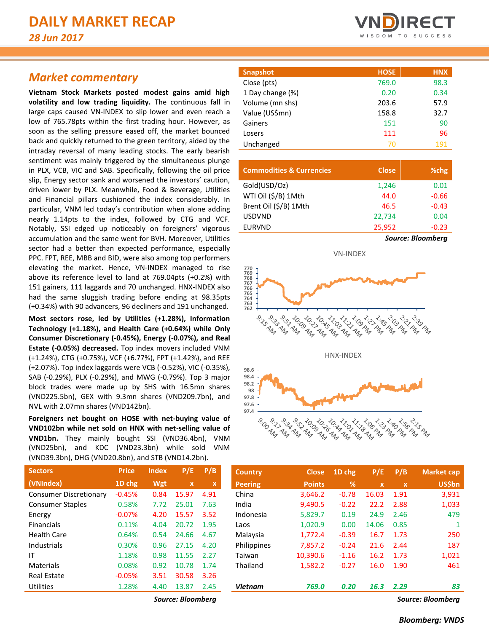# *Market commentary*

**Vietnam Stock Markets posted modest gains amid high volatility and low trading liquidity.** The continuous fall in large caps caused VN-INDEX to slip lower and even reach a low of 765.78pts within the first trading hour. However, as soon as the selling pressure eased off, the market bounced back and quickly returned to the green territory, aided by the intraday reversal of many leading stocks. The early bearish sentiment was mainly triggered by the simultaneous plunge in PLX, VCB, VIC and SAB. Specifically, following the oil price slip, Energy sector sank and worsened the investors' caution, driven lower by PLX. Meanwhile, Food & Beverage, Utilities and Financial pillars cushioned the index considerably. In particular, VNM led today's contribution when alone adding nearly 1.14pts to the index, followed by CTG and VCF. Notably, SSI edged up noticeably on foreigners' vigorous accumulation and the same went for BVH. Moreover, Utilities sector had a better than expected performance, especially PPC. FPT, REE, MBB and BID, were also among top performers elevating the market. Hence, VN-INDEX managed to rise above its reference level to land at 769.04pts (+0.2%) with 151 gainers, 111 laggards and 70 unchanged. HNX-INDEX also had the same sluggish trading before ending at 98.35pts (+0.34%) with 90 advancers, 96 decliners and 191 unchanged.

**Most sectors rose, led by Utilities (+1.28%), Information Technology (+1.18%), and Health Care (+0.64%) while Only Consumer Discretionary (-0.45%), Energy (-0.07%), and Real Estate (-0.05%) decreased.** Top index movers included VNM (+1.24%), CTG (+0.75%), VCF (+6.77%), FPT (+1.42%), and REE (+2.07%). Top index laggards were VCB (-0.52%), VIC (-0.35%), SAB (-0.29%), PLX (-0.29%), and MWG (-0.79%). Top 3 major block trades were made up by SHS with 16.5mn shares (VND225.5bn), GEX with 9.3mn shares (VND209.7bn), and NVL with 2.07mn shares (VND142bn).

**Foreigners net bought on HOSE with net-buying value of VND102bn while net sold on HNX with net-selling value of VND1bn.** They mainly bought SSI (VND36.4bn), VNM (VND25bn), and KDC (VND23.3bn) while sold VNM (VND39.3bn), DHG (VND20.8bn), and STB (VND14.2bn).

| <b>Price</b> | <b>Index</b> | P/E         | P/B  |
|--------------|--------------|-------------|------|
| 1D chg       | Wgt          | $\mathbf x$ | x    |
| $-0.45%$     | 0.84         | 15.97       | 4.91 |
| 0.58%        | 7.72         | 25.01       | 7.63 |
| $-0.07%$     | 4.20         | 15.57       | 3.52 |
| 0.11%        | 4.04         | 20.72       | 1.95 |
| 0.64%        | 0.54         | 24.66       | 4.67 |
| 0.30%        | 0.96         | 27.15       | 4.20 |
| 1.18%        | 0.98         | 11.55       | 2.27 |
| 0.08%        | 0.92         | 10.78       | 1.74 |
| $-0.05%$     | 3.51         | 30.58       | 3.26 |
| 1.28%        | 4.40         | 13.87       | 2.45 |
|              |              |             |      |



| <b>HOSE</b> | <b>HNX</b> |
|-------------|------------|
| 769.0       | 98.3       |
| 0.20        | 0.34       |
| 203.6       | 57.9       |
| 158.8       | 32.7       |
| 151         | 90         |
| 111         | 96         |
| 70          | 191        |
|             |            |

| <b>Commodities &amp; Currencies</b> | <b>Close</b> | %chg                     |
|-------------------------------------|--------------|--------------------------|
| Gold(USD/Oz)                        | 1,246        | 0.01                     |
| WTI Oil (\$/B) 1Mth                 | 44.0         | $-0.66$                  |
| Brent Oil (\$/B) 1Mth               | 46.5         | $-0.43$                  |
| <b>USDVND</b>                       | 22,734       | 0.04                     |
| <b>EURVND</b>                       | 25,952       | $-0.23$                  |
|                                     |              | <b>Source: Bloomberg</b> |

VN-INDEX



| <b>E Aug Cu</b>                                            |
|------------------------------------------------------------|
| 9:00 AM<br>9.52 M<br><b>PRANT</b><br>$A_{\mathcal{L}_{p}}$ |

| <b>Sectors</b>          | <b>Price</b> | <b>Index</b> | P/E         | P/B                       | <b>Country</b> | <b>Close</b>  | 1D chg  | P/E         | P/B         | Market cap    |
|-------------------------|--------------|--------------|-------------|---------------------------|----------------|---------------|---------|-------------|-------------|---------------|
| (VNIndex)               | 1D chg       | Wgt          | $\mathbf x$ | $\boldsymbol{\mathsf{x}}$ | <b>Peering</b> | <b>Points</b> | %       | $\mathbf x$ | $\mathbf x$ | <b>US\$bn</b> |
| Consumer Discretionary  | $-0.45%$     | 0.84         | 15.97       | 4.91                      | China          | 3,646.2       | $-0.78$ | 16.03       | 1.91        | 3,931         |
| <b>Consumer Staples</b> | 0.58%        | 7.72         | 25.01       | 7.63                      | India          | 9,490.5       | $-0.22$ | 22.2        | 2.88        | 1,033         |
| Energy                  | $-0.07%$     | 4.20         | 15.57       | 3.52                      | Indonesia      | 5,829.7       | 0.19    | 24.9        | 2.46        | 479           |
| <b>Financials</b>       | 0.11%        | 4.04         | 20.72       | 1.95                      | Laos           | 1.020.9       | 0.00    | 14.06       | 0.85        |               |
| Health Care             | 0.64%        | 0.54         | 24.66       | 4.67                      | Malaysia       | 1,772.4       | $-0.39$ | 16.7        | 1.73        | 250           |
| Industrials             | 0.30%        | 0.96         | 27.15       | 4.20                      | Philippines    | 7,857.2       | $-0.24$ | 21.6        | 2.44        | 187           |
| ΙT                      | 1.18%        | 0.98         | 11.55       | 2.27                      | Taiwan         | 10,390.6      | $-1.16$ | 16.2        | 1.73        | 1,021         |
| Materials               | 0.08%        | 0.92         | 10.78       | 1.74                      | Thailand       | 1,582.2       | $-0.27$ | 16.0        | 1.90        | 461           |
| Real Estate             | $-0.05%$     | 3.51         | 30.58       | 3.26                      |                |               |         |             |             |               |
| Utilities               | 1.28%        | 4.40         | 13.87       | 2.45                      | <b>Vietnam</b> | 769.0         | 0.20    | 16.3        | 2.29        | 83            |
|                         |              |              |             |                           |                |               |         |             |             |               |

*Source: Bloomberg Source: Bloomberg*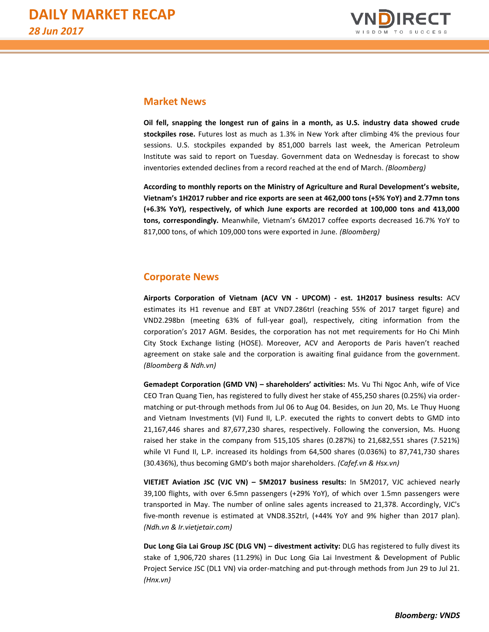

## **Market News**

**Oil fell, snapping the longest run of gains in a month, as U.S. industry data showed crude stockpiles rose.** Futures lost as much as 1.3% in New York after climbing 4% the previous four sessions. U.S. stockpiles expanded by 851,000 barrels last week, the American Petroleum Institute was said to report on Tuesday. Government data on Wednesday is forecast to show inventories extended declines from a record reached at the end of March. *(Bloomberg)*

**According to monthly reports on the Ministry of Agriculture and Rural Development's website, Vietnam's 1H2017 rubber and rice exports are seen at 462,000 tons (+5% YoY) and 2.77mn tons (+6.3% YoY), respectively, of which June exports are recorded at 100,000 tons and 413,000 tons, correspondingly.** Meanwhile, Vietnam's 6M2017 coffee exports decreased 16.7% YoY to 817,000 tons, of which 109,000 tons were exported in June. *(Bloomberg)*

# **Corporate News**

**Airports Corporation of Vietnam (ACV VN - UPCOM) - est. 1H2017 business results:** ACV estimates its H1 revenue and EBT at VND7.286trl (reaching 55% of 2017 target figure) and VND2.298bn (meeting 63% of full-year goal), respectively, citing information from the corporation's 2017 AGM. Besides, the corporation has not met requirements for Ho Chi Minh City Stock Exchange listing (HOSE). Moreover, ACV and Aeroports de Paris haven't reached agreement on stake sale and the corporation is awaiting final guidance from the government. *(Bloomberg & Ndh.vn)*

**Gemadept Corporation (GMD VN) – shareholders' activities:** Ms. Vu Thi Ngoc Anh, wife of Vice CEO Tran Quang Tien, has registered to fully divest her stake of 455,250 shares (0.25%) via ordermatching or put-through methods from Jul 06 to Aug 04. Besides, on Jun 20, Ms. Le Thuy Huong and Vietnam Investments (VI) Fund II, L.P. executed the rights to convert debts to GMD into 21,167,446 shares and 87,677,230 shares, respectively. Following the conversion, Ms. Huong raised her stake in the company from 515,105 shares (0.287%) to 21,682,551 shares (7.521%) while VI Fund II, L.P. increased its holdings from 64,500 shares (0.036%) to 87,741,730 shares (30.436%), thus becoming GMD's both major shareholders. *(Cafef.vn & Hsx.vn)*

**VIETJET Aviation JSC (VJC VN) – 5M2017 business results:** In 5M2017, VJC achieved nearly 39,100 flights, with over 6.5mn passengers (+29% YoY), of which over 1.5mn passengers were transported in May. The number of online sales agents increased to 21,378. Accordingly, VJC's five-month revenue is estimated at VND8.352trl, (+44% YoY and 9% higher than 2017 plan). *(Ndh.vn & Ir.vietjetair.com)*

**Duc Long Gia Lai Group JSC (DLG VN) – divestment activity:** DLG has registered to fully divest its stake of 1,906,720 shares (11.29%) in Duc Long Gia Lai Investment & Development of Public Project Service JSC (DL1 VN) via order-matching and put-through methods from Jun 29 to Jul 21. *(Hnx.vn)*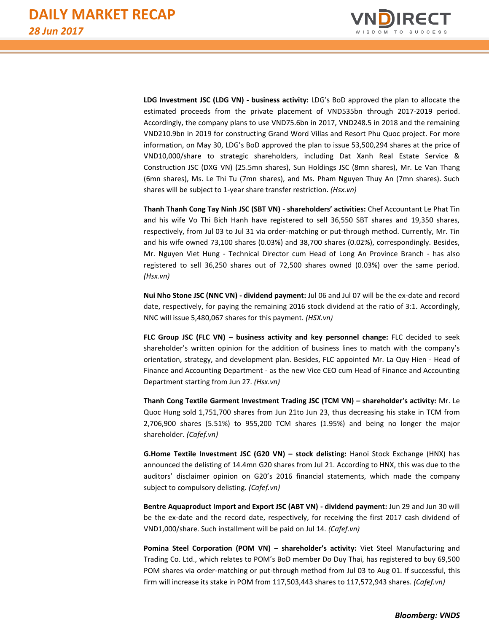

**LDG Investment JSC (LDG VN) - business activity:** LDG's BoD approved the plan to allocate the estimated proceeds from the private placement of VND535bn through 2017-2019 period. Accordingly, the company plans to use VND75.6bn in 2017, VND248.5 in 2018 and the remaining VND210.9bn in 2019 for constructing Grand Word Villas and Resort Phu Quoc project. For more information, on May 30, LDG's BoD approved the plan to issue 53,500,294 shares at the price of VND10,000/share to strategic shareholders, including Dat Xanh Real Estate Service & Construction JSC (DXG VN) (25.5mn shares), Sun Holdings JSC (8mn shares), Mr. Le Van Thang (6mn shares), Ms. Le Thi Tu (7mn shares), and Ms. Pham Nguyen Thuy An (7mn shares). Such shares will be subject to 1-year share transfer restriction. *(Hsx.vn)*

**Thanh Thanh Cong Tay Ninh JSC (SBT VN) - shareholders' activities:** Chef Accountant Le Phat Tin and his wife Vo Thi Bich Hanh have registered to sell 36,550 SBT shares and 19,350 shares, respectively, from Jul 03 to Jul 31 via order-matching or put-through method. Currently, Mr. Tin and his wife owned 73,100 shares (0.03%) and 38,700 shares (0.02%), correspondingly. Besides, Mr. Nguyen Viet Hung - Technical Director cum Head of Long An Province Branch - has also registered to sell 36,250 shares out of 72,500 shares owned (0.03%) over the same period. *(Hsx.vn)*

**Nui Nho Stone JSC (NNC VN) - dividend payment:** Jul 06 and Jul 07 will be the ex-date and record date, respectively, for paying the remaining 2016 stock dividend at the ratio of 3:1. Accordingly, NNC will issue 5,480,067 shares for this payment. *(HSX.vn)*

**FLC Group JSC (FLC VN) – business activity and key personnel change:** FLC decided to seek shareholder's written opinion for the addition of business lines to match with the company's orientation, strategy, and development plan. Besides, FLC appointed Mr. La Quy Hien - Head of Finance and Accounting Department - as the new Vice CEO cum Head of Finance and Accounting Department starting from Jun 27. *(Hsx.vn)*

**Thanh Cong Textile Garment Investment Trading JSC (TCM VN) – shareholder's activity:** Mr. Le Quoc Hung sold 1,751,700 shares from Jun 21to Jun 23, thus decreasing his stake in TCM from 2,706,900 shares (5.51%) to 955,200 TCM shares (1.95%) and being no longer the major shareholder. *(Cafef.vn)*

**G.Home Textile Investment JSC (G20 VN) – stock delisting:** Hanoi Stock Exchange (HNX) has announced the delisting of 14.4mn G20 shares from Jul 21. According to HNX, this was due to the auditors' disclaimer opinion on G20's 2016 financial statements, which made the company subject to compulsory delisting. *(Cafef.vn)*

**Bentre Aquaproduct Import and Export JSC (ABT VN) - dividend payment:** Jun 29 and Jun 30 will be the ex-date and the record date, respectively, for receiving the first 2017 cash dividend of VND1,000/share. Such installment will be paid on Jul 14. *(Cafef.vn)*

**Pomina Steel Corporation (POM VN) – shareholder's activity:** Viet Steel Manufacturing and Trading Co. Ltd., which relates to POM's BoD member Do Duy Thai, has registered to buy 69,500 POM shares via order-matching or put-through method from Jul 03 to Aug 01. If successful, this firm will increase its stake in POM from 117,503,443 shares to 117,572,943 shares. *(Cafef.vn)*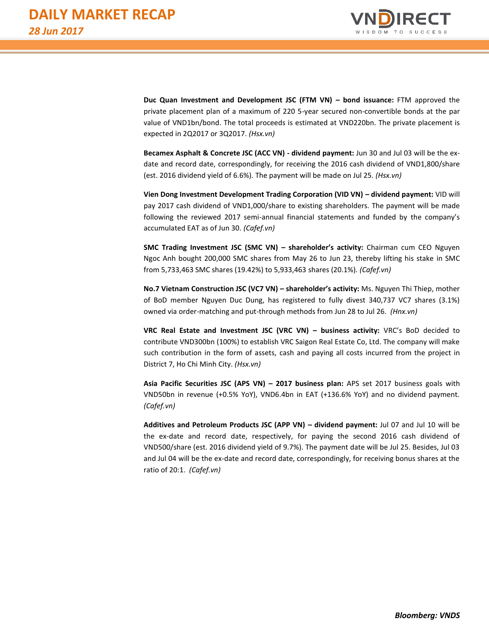

**Duc Quan Investment and Development JSC (FTM VN) – bond issuance:** FTM approved the private placement plan of a maximum of 220 5-year secured non-convertible bonds at the par value of VND1bn/bond. The total proceeds is estimated at VND220bn. The private placement is expected in 2Q2017 or 3Q2017. *(Hsx.vn)*

**Becamex Asphalt & Concrete JSC (ACC VN) - dividend payment:** Jun 30 and Jul 03 will be the exdate and record date, correspondingly, for receiving the 2016 cash dividend of VND1,800/share (est. 2016 dividend yield of 6.6%). The payment will be made on Jul 25. *(Hsx.vn)*

**Vien Dong Investment Development Trading Corporation (VID VN) – dividend payment:** VID will pay 2017 cash dividend of VND1,000/share to existing shareholders. The payment will be made following the reviewed 2017 semi-annual financial statements and funded by the company's accumulated EAT as of Jun 30. *(Cafef.vn)*

**SMC Trading Investment JSC (SMC VN) – shareholder's activity:** Chairman cum CEO Nguyen Ngoc Anh bought 200,000 SMC shares from May 26 to Jun 23, thereby lifting his stake in SMC from 5,733,463 SMC shares (19.42%) to 5,933,463 shares (20.1%). *(Cafef.vn)*

**No.7 Vietnam Construction JSC (VC7 VN) – shareholder's activity:** Ms. Nguyen Thi Thiep, mother of BoD member Nguyen Duc Dung, has registered to fully divest 340,737 VC7 shares (3.1%) owned via order-matching and put-through methods from Jun 28 to Jul 26. *(Hnx.vn)*

**VRC Real Estate and Investment JSC (VRC VN) – business activity:** VRC's BoD decided to contribute VND300bn (100%) to establish VRC Saigon Real Estate Co, Ltd. The company will make such contribution in the form of assets, cash and paying all costs incurred from the project in District 7, Ho Chi Minh City. *(Hsx.vn)*

**Asia Pacific Securities JSC (APS VN) – 2017 business plan:** APS set 2017 business goals with VND50bn in revenue (+0.5% YoY), VND6.4bn in EAT (+136.6% YoY) and no dividend payment. *(Cafef.vn)*

**Additives and Petroleum Products JSC (APP VN) – dividend payment:** Jul 07 and Jul 10 will be the ex-date and record date, respectively, for paying the second 2016 cash dividend of VND500/share (est. 2016 dividend yield of 9.7%). The payment date will be Jul 25. Besides, Jul 03 and Jul 04 will be the ex-date and record date, correspondingly, for receiving bonus shares at the ratio of 20:1. *(Cafef.vn)*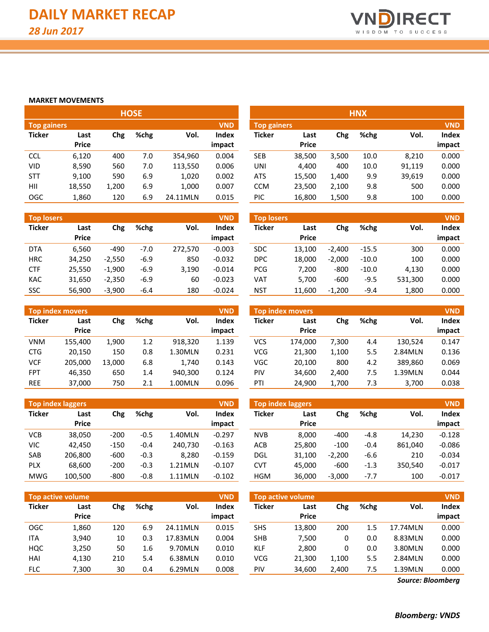

#### **MARKET MOVEMENTS**

| <b>HOSE</b>        |              |       |      |          |            |                    |              | <b>HNX</b> |      |        |            |
|--------------------|--------------|-------|------|----------|------------|--------------------|--------------|------------|------|--------|------------|
| <b>Top gainers</b> |              |       |      |          | <b>VND</b> | <b>Top gainers</b> |              |            |      |        | <b>VND</b> |
| <b>Ticker</b>      | Last         | Chg   | %chg | Vol.     | Index      | <b>Ticker</b>      | Last         | Chg        | %chg | Vol.   | Index      |
|                    | <b>Price</b> |       |      |          | impact     |                    | <b>Price</b> |            |      |        | impact     |
| <b>CCL</b>         | 6,120        | 400   | 7.0  | 354.960  | 0.004      | <b>SEB</b>         | 38,500       | 3,500      | 10.0 | 8,210  | 0.000      |
| VID                | 8,590        | 560   | 7.0  | 113,550  | 0.006      | UNI                | 4.400        | 400        | 10.0 | 91,119 | 0.000      |
| <b>STT</b>         | 9,100        | 590   | 6.9  | 1,020    | 0.002      | <b>ATS</b>         | 15,500       | 1,400      | 9.9  | 39,619 | 0.000      |
| HII                | 18,550       | 1,200 | 6.9  | 1,000    | 0.007      | <b>CCM</b>         | 23,500       | 2,100      | 9.8  | 500    | 0.000      |
| <b>OGC</b>         | 1,860        | 120   | 6.9  | 24.11MLN | 0.015      | PIC                | 16,800       | 1,500      | 9.8  | 100    | 0.000      |

| <b>Top losers</b> |               |          |        |         | <b>VND</b>      | <b>Top losers</b> |                      |            |         |         | <b>VND</b>      |
|-------------------|---------------|----------|--------|---------|-----------------|-------------------|----------------------|------------|---------|---------|-----------------|
| <b>Ticker</b>     | Last<br>Price | Chg      | %chg   | Vol.    | Index<br>impact | Ticker            | Last<br><b>Price</b> | <b>Chg</b> | %chg    | Vol.    | Index<br>impact |
| <b>DTA</b>        | 6.560         | $-490$   | $-7.0$ | 272.570 | $-0.003$        | <b>SDC</b>        | 13.100               | $-2.400$   | $-15.5$ | 300     | 0.000           |
| <b>HRC</b>        | 34,250        | $-2.550$ | $-6.9$ | 850     | $-0.032$        | <b>DPC</b>        | 18.000               | $-2.000$   | $-10.0$ | 100     | 0.000           |
| <b>CTF</b>        | 25,550        | $-1.900$ | $-6.9$ | 3,190   | $-0.014$        | <b>PCG</b>        | 7.200                | $-800$     | $-10.0$ | 4,130   | 0.000           |
| <b>KAC</b>        | 31,650        | $-2,350$ | $-6.9$ | 60      | $-0.023$        | VAT               | 5.700                | $-600$     | $-9.5$  | 531,300 | 0.000           |
| <b>SSC</b>        | 56,900        | $-3.900$ | $-6.4$ | 180     | $-0.024$        | <b>NST</b>        | 11,600               | $-1.200$   | $-9.4$  | 1,800   | 0.000           |

| <b>Top index movers</b><br><b>VND</b> |               |        |      |         |                 |  |  |  |  |
|---------------------------------------|---------------|--------|------|---------|-----------------|--|--|--|--|
| <b>Ticker</b>                         | Last<br>Price | Chg    | %chg | Vol.    | Index<br>impact |  |  |  |  |
| VNM                                   | 155,400       | 1,900  | 1.2  | 918,320 | 1.139           |  |  |  |  |
| <b>CTG</b>                            | 20,150        | 150    | 0.8  | 1.30MLN | 0.231           |  |  |  |  |
| VCF                                   | 205,000       | 13,000 | 6.8  | 1,740   | 0.143           |  |  |  |  |
| FPT                                   | 46,350        | 650    | 1.4  | 940,300 | 0.124           |  |  |  |  |
| REE                                   | 37,000        | 750    | 2.1  | 1.00MLN | 0.096           |  |  |  |  |

| <b>Top index laggers</b> |         |        |        |         |          |  |  |  |
|--------------------------|---------|--------|--------|---------|----------|--|--|--|
| <b>Ticker</b>            | Last    | Chg    | %chg   | Vol.    | Index    |  |  |  |
|                          | Price   |        |        |         | impact   |  |  |  |
| VCB                      | 38,050  | $-200$ | $-0.5$ | 1.40MLN | $-0.297$ |  |  |  |
| VIC                      | 42.450  | $-150$ | $-0.4$ | 240,730 | $-0.163$ |  |  |  |
| SAB                      | 206,800 | -600   | $-0.3$ | 8,280   | $-0.159$ |  |  |  |
| <b>PLX</b>               | 68,600  | $-200$ | $-0.3$ | 1.21MLN | $-0.107$ |  |  |  |
| MWG                      | 100,500 | -800   | $-0.8$ | 1.11MLN | $-0.102$ |  |  |  |

|               | <b>VND</b><br><b>Top active volume</b> |     |      |          |                 |  |  |  |  |
|---------------|----------------------------------------|-----|------|----------|-----------------|--|--|--|--|
| <b>Ticker</b> | Last<br><b>Price</b>                   | Chg | %chg | Vol.     | Index<br>impact |  |  |  |  |
| <b>OGC</b>    | 1,860                                  | 120 | 6.9  | 24.11MLN | 0.015           |  |  |  |  |
| ITA           | 3,940                                  | 10  | 0.3  | 17.83MLN | 0.004           |  |  |  |  |
| <b>HOC</b>    | 3,250                                  | 50  | 1.6  | 9.70MLN  | 0.010           |  |  |  |  |
| HAI           | 4,130                                  | 210 | 5.4  | 6.38MLN  | 0.010           |  |  |  |  |
| <b>FLC</b>    | 7,300                                  | 30  | 0.4  | 6.29MLN  | 0.008           |  |  |  |  |

| <b>HNX</b>                       |        |       |      |        |        |  |  |  |  |
|----------------------------------|--------|-------|------|--------|--------|--|--|--|--|
| <b>VND</b><br><b>Top gainers</b> |        |       |      |        |        |  |  |  |  |
| <b>Ticker</b>                    | Last   | Chg   | %chg | Vol.   | Index  |  |  |  |  |
|                                  | Price  |       |      |        | impact |  |  |  |  |
| <b>SEB</b>                       | 38,500 | 3,500 | 10.0 | 8,210  | 0.000  |  |  |  |  |
| UNI                              | 4,400  | 400   | 10.0 | 91,119 | 0.000  |  |  |  |  |
| <b>ATS</b>                       | 15,500 | 1,400 | 9.9  | 39,619 | 0.000  |  |  |  |  |
| <b>CCM</b>                       | 23,500 | 2,100 | 9.8  | 500    | 0.000  |  |  |  |  |
| PIC                              | 16,800 | 1,500 | 9.8  | 100    | 0.000  |  |  |  |  |

| <b>Top losers</b> |        |          |         |         | <b>VND</b> |
|-------------------|--------|----------|---------|---------|------------|
| <b>Ticker</b>     | Last   | Chg      | %chg    | Vol.    | Index      |
|                   | Price  |          |         |         | impact     |
| SDC.              | 13,100 | $-2,400$ | $-15.5$ | 300     | 0.000      |
| <b>DPC</b>        | 18,000 | $-2,000$ | $-10.0$ | 100     | 0.000      |
| <b>PCG</b>        | 7.200  | -800     | $-10.0$ | 4.130   | 0.000      |
| VAT               | 5,700  | -600     | $-9.5$  | 531,300 | 0.000      |
| NST               | 11,600 | $-1,200$ | $-9.4$  | 1,800   | 0.000      |

|            |                   |                                     |     |         | <b>VND</b> |            |                  |       |      |         | <b>VND</b> |
|------------|-------------------|-------------------------------------|-----|---------|------------|------------|------------------|-------|------|---------|------------|
|            | Top index movers' |                                     |     |         |            |            | Top index movers |       |      |         |            |
| Ticker     | Last              | %chg<br>Vol.<br><b>Index</b><br>Chg |     |         |            | Ticker     | Last             | Chg   | %chg | Vol.    | Index      |
|            | <b>Price</b>      |                                     |     |         | impact     |            | <b>Price</b>     |       |      |         | impact     |
| VNM        | 155,400           | 1,900                               | 1.2 | 918.320 | 1.139      | VCS        | 174.000          | 7.300 | 4.4  | 130.524 | 0.147      |
| <b>CTG</b> | 20,150            | 150                                 | 0.8 | L.30MLN | 0.231      | <b>VCG</b> | 21.300           | 1.100 | 5.5  | 2.84MLN | 0.136      |
| VCF        | 205,000           | 13.000                              | 6.8 | 1.740   | 0.143      | <b>VGC</b> | 20.100           | 800   | 4.2  | 389.860 | 0.069      |
| <b>FPT</b> | 46,350            | 650                                 | 1.4 | 940.300 | 0.124      | PIV        | 34,600           | 2.400 | 7.5  | 1.39MLN | 0.044      |
| <b>REE</b> | 37,000            | 750                                 | 2.1 | L.OOMLN | 0.096      | PTI        | 24.900           | 1,700 | 7.3  | 3,700   | 0.038      |

|            | <b>Top index laggers</b> |        |              |         | <b>VND</b>   | <b>Top index laggers</b> |              |          |        |         | <b>VND</b> |
|------------|--------------------------|--------|--------------|---------|--------------|--------------------------|--------------|----------|--------|---------|------------|
| Ticker     | Last                     | Chg    | %chg<br>Vol. |         | <b>Index</b> | <b>Ticker</b>            | Last         | Chg      | %chg   | Vol.    | Index      |
|            | <b>Price</b>             |        |              |         | impact       |                          | <b>Price</b> |          |        |         | impact     |
| VCB        | 38,050                   | $-200$ | $-0.5$       | 1.40MLN | $-0.297$     | <b>NVB</b>               | 8.000        | $-400$   | -4.8   | 14.230  | $-0.128$   |
| VIC        | 42.450                   | $-150$ | $-0.4$       | 240.730 | $-0.163$     | <b>ACB</b>               | 25,800       | $-100$   | $-0.4$ | 861.040 | $-0.086$   |
| SAB        | 206,800                  | $-600$ | $-0.3$       | 8.280   | $-0.159$     | <b>DGL</b>               | 31,100       | $-2.200$ | -6.6   | 210     | $-0.034$   |
| <b>PLX</b> | 68,600                   | $-200$ | $-0.3$       | 1.21MLN | $-0.107$     | CVT                      | 45.000       | $-600$   | $-1.3$ | 350.540 | $-0.017$   |
| MWG        | 100,500                  | $-800$ | $-0.8$       | 1.11MLN | $-0.102$     | <b>HGM</b>               | 36,000       | $-3,000$ | $-7.7$ | 100     | $-0.017$   |

| <b>Top active volume</b> |                      |     |                                        |          | <b>VND</b>             |               | <b>Top active volume</b> |       |      |          | <b>VND</b>      |
|--------------------------|----------------------|-----|----------------------------------------|----------|------------------------|---------------|--------------------------|-------|------|----------|-----------------|
| Ticker                   | Last<br><b>Price</b> | Chg | %chg<br>Vol.<br>6.9<br>120<br>24.11MLN |          | <b>Index</b><br>impact | <b>Ticker</b> | Last<br><b>Price</b>     | Chg   | %chg | Vol.     | Index<br>impact |
| OGC                      | 1,860                |     |                                        |          | 0.015                  | <b>SHS</b>    | 13,800                   | 200   | 1.5  | 17.74MLN | 0.000           |
| <b>ITA</b>               | 3,940                | 10  | 0.3                                    | 17.83MLN | 0.004                  | <b>SHB</b>    | 7.500                    | 0     | 0.0  | 8.83MLN  | 0.000           |
| HQC                      | 3,250                | 50  | 1.6                                    | 9.70MLN  | 0.010                  | KLF           | 2.800                    | 0     | 0.0  | 3.80MLN  | 0.000           |
| HAI                      | 4,130                | 210 | 5.4                                    | 6.38MLN  | 0.010                  | <b>VCG</b>    | 21,300                   | 1,100 | 5.5  | 2.84MLN  | 0.000           |
| <b>FLC</b>               | 7,300                | 30  | 0.4                                    | 6.29MLN  | 0.008                  | PIV           | 34,600                   | 2,400 | 7.5  | 1.39MLN  | 0.000           |

*Source: Bloomberg*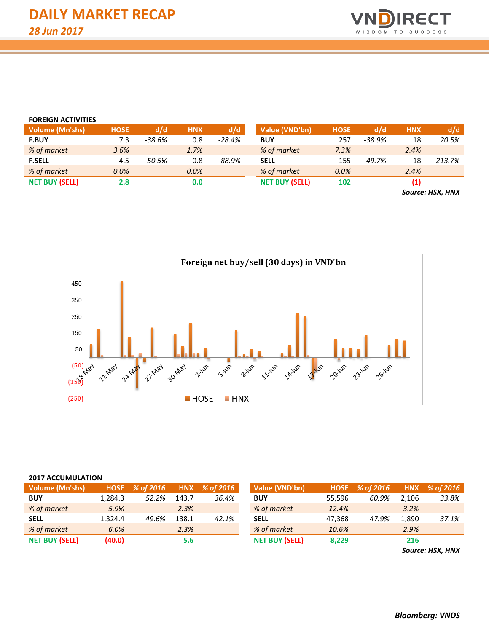

| <b>FOREIGN ACTIVITIES</b> |             |        |            |          |                       |             |          |                   |        |
|---------------------------|-------------|--------|------------|----------|-----------------------|-------------|----------|-------------------|--------|
| <b>Volume (Mn'shs)</b>    | <b>HOSE</b> | d/d    | <b>HNX</b> | d/d      | Value (VND'bn)        | <b>HOSE</b> | d/d      | <b>HNX</b>        | d/d    |
| <b>F.BUY</b>              | 7.3         | -38.6% | 0.8        | $-28.4%$ | <b>BUY</b>            | 257         | $-38.9%$ | 18                | 20.5%  |
| % of market               | 3.6%        |        | 1.7%       |          | % of market           | 7.3%        |          | 2.4%              |        |
| <b>F.SELL</b>             | 4.5         | -50.5% | 0.8        | 88.9%    | <b>SELL</b>           | 155         | $-49.7%$ | 18                | 213.7% |
| % of market               | 0.0%        |        | 0.0%       |          | % of market           | 0.0%        |          | 2.4%              |        |
| <b>NET BUY (SELL)</b>     | 2.8         |        | 0.0        |          | <b>NET BUY (SELL)</b> | 102         |          | $\left( 1\right)$ |        |
|                           |             |        |            |          |                       |             |          |                   |        |

*Source: HSX, HNX*



# Foreign net buy/sell (30 days) in VND'bn

#### **2017 ACCUMULATION**

| Volume (Mn'shs)       | <b>HOSE</b> | % of 2016 | <b>HNX</b> | % of 2016 | Value (VND'bn)        | <b>HOSE</b> | % of 2016 | <b>HNX</b> | % of 2016 |
|-----------------------|-------------|-----------|------------|-----------|-----------------------|-------------|-----------|------------|-----------|
| <b>BUY</b>            | 1.284.3     | 52.2%     | 143.7      | 36.4%     | <b>BUY</b>            | 55.596      | 60.9%     | 2.106      | 33.8%     |
| % of market           | 5.9%        |           | 2.3%       |           | % of market           | 12.4%       |           | 3.2%       |           |
| <b>SELL</b>           | 1.324.4     | 49.6%     | 138.1      | 42.1%     | <b>SELL</b>           | 47.368      | 47.9%     | 1,890      | 37.1%     |
| % of market           | 6.0%        |           | 2.3%       |           | % of market           | 10.6%       |           | 2.9%       |           |
| <b>NET BUY (SELL)</b> | (40.0)      |           | 5.6        |           | <b>NET BUY (SELL)</b> | 8,229       |           | 216        |           |
|                       |             |           |            |           |                       |             |           |            |           |

*Source: HSX, HNX*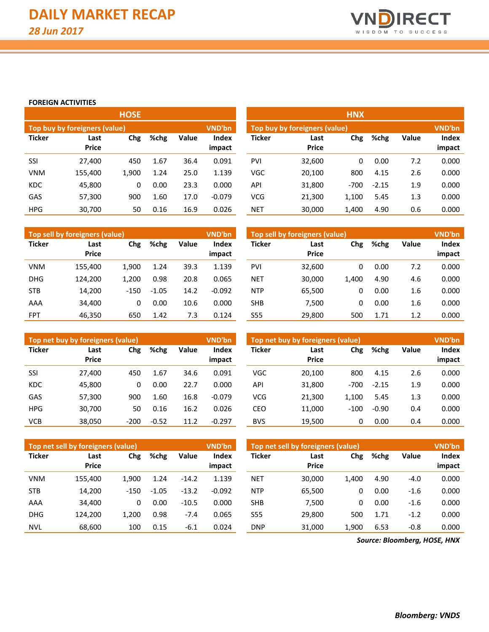

### **FOREIGN ACTIVITIES**

|               |                               | <b>HOSE</b> |      |              |                 |               |                               | <b>HNX</b> |         |              |                 |
|---------------|-------------------------------|-------------|------|--------------|-----------------|---------------|-------------------------------|------------|---------|--------------|-----------------|
|               | Top buy by foreigners (value) |             |      |              | VND'bn          |               | Top buy by foreigners (value) |            |         |              | <b>VND'bn</b>   |
| <b>Ticker</b> | Last<br><b>Price</b>          | Chg         | %chg | <b>Value</b> | Index<br>impact | <b>Ticker</b> | Last<br><b>Price</b>          | Chg        | %chg    | <b>Value</b> | Index<br>impact |
| <b>SSI</b>    | 27,400                        | 450         | 1.67 | 36.4         | 0.091           | PVI           | 32,600                        | 0          | 0.00    | 7.2          | 0.000           |
| <b>VNM</b>    | 155,400                       | 1,900       | 1.24 | 25.0         | 1.139           | <b>VGC</b>    | 20,100                        | 800        | 4.15    | 2.6          | 0.000           |
| <b>KDC</b>    | 45,800                        | 0           | 0.00 | 23.3         | 0.000           | API           | 31,800                        | $-700$     | $-2.15$ | 1.9          | 0.000           |
| <b>GAS</b>    | 57,300                        | 900         | 1.60 | 17.0         | $-0.079$        | <b>VCG</b>    | 21,300                        | 1,100      | 5.45    | 1.3          | 0.000           |
| <b>HPG</b>    | 30,700                        | 50          | 0.16 | 16.9         | 0.026           | <b>NET</b>    | 30,000                        | 1,400      | 4.90    | 0.6          | 0.000           |

|               | Top sell by foreigners (value) |        |         |       | VND'bn          |               | Top sell by foreigners (value) |       |      |              | <b>VND'bn</b>   |
|---------------|--------------------------------|--------|---------|-------|-----------------|---------------|--------------------------------|-------|------|--------------|-----------------|
| <b>Ticker</b> | Last<br><b>Price</b>           | Chg    | %chg    | Value | Index<br>impact | <b>Ticker</b> | Last<br><b>Price</b>           | Chg   | %chg | <b>Value</b> | Index<br>impact |
| <b>VNM</b>    | 155,400                        | 1,900  | 1.24    | 39.3  | 1.139           | <b>PVI</b>    | 32,600                         | 0     | 0.00 | 7.2          | 0.000           |
| <b>DHG</b>    | 124.200                        | 1,200  | 0.98    | 20.8  | 0.065           | <b>NET</b>    | 30,000                         | 1.400 | 4.90 | 4.6          | 0.000           |
| <b>STB</b>    | 14,200                         | $-150$ | $-1.05$ | 14.2  | $-0.092$        | <b>NTP</b>    | 65,500                         | 0     | 0.00 | 1.6          | 0.000           |
| AAA           | 34,400                         | 0      | 0.00    | 10.6  | 0.000           | <b>SHB</b>    | 7.500                          | 0     | 0.00 | 1.6          | 0.000           |
| <b>FPT</b>    | 46,350                         | 650    | 1.42    | 7.3   | 0.124           | <b>S55</b>    | 29,800                         | 500   | 1.71 | 1.2          | 0.000           |

|            | <b>Top sell by foreigners (value)</b> |        |         |       | VND'bn          |            | Top sell by foreigners (value) |       |      |       | <b>VND'bn</b>   |
|------------|---------------------------------------|--------|---------|-------|-----------------|------------|--------------------------------|-------|------|-------|-----------------|
| Ticker     | Last<br><b>Price</b>                  | Chg    | %chg    | Value | Index<br>impact | Ticker     | Last<br><b>Price</b>           | Chg   | %chg | Value | Index<br>impact |
| VNM        | 155,400                               | 1,900  | 1.24    | 39.3  | 1.139           | <b>PVI</b> | 32,600                         | 0     | 0.00 | 7.2   | 0.000           |
| <b>DHG</b> | 124,200                               | 1,200  | 0.98    | 20.8  | 0.065           | <b>NET</b> | 30,000                         | 1,400 | 4.90 | 4.6   | 0.000           |
| <b>STB</b> | 14,200                                | $-150$ | $-1.05$ | 14.2  | $-0.092$        | <b>NTP</b> | 65,500                         | 0     | 0.00 | 1.6   | 0.000           |
| AAA        | 34,400                                | 0      | 0.00    | 10.6  | 0.000           | <b>SHB</b> | 7,500                          | 0     | 0.00 | 1.6   | 0.000           |
| FPT        | 46,350                                | 650    | 1.42    | 7.3   | 0.124           | <b>S55</b> | 29,800                         | 500   | 1.71 | 1.2   | 0.000           |

|               | Top net buy by foreigners (value) |        |         |       | <b>VND'bn</b>   |               | Top net buy by foreigners (value) |        |         |              | <b>VND'bn</b>   |
|---------------|-----------------------------------|--------|---------|-------|-----------------|---------------|-----------------------------------|--------|---------|--------------|-----------------|
| <b>Ticker</b> | Last<br><b>Price</b>              | Chg    | %chg    | Value | Index<br>impact | <b>Ticker</b> | Last<br><b>Price</b>              | Chg    | %chg    | <b>Value</b> | Index<br>impact |
| SSI           | 27,400                            | 450    | 1.67    | 34.6  | 0.091           | <b>VGC</b>    | 20,100                            | 800    | 4.15    | 2.6          | 0.000           |
| <b>KDC</b>    | 45,800                            | 0      | 0.00    | 22.7  | 0.000           | API           | 31,800                            | $-700$ | $-2.15$ | 1.9          | 0.000           |
| GAS           | 57,300                            | 900    | 1.60    | 16.8  | $-0.079$        | <b>VCG</b>    | 21.300                            | 1.100  | 5.45    | 1.3          | 0.000           |
| <b>HPG</b>    | 30,700                            | 50     | 0.16    | 16.2  | 0.026           | CEO           | 11.000                            | $-100$ | $-0.90$ | 0.4          | 0.000           |
| <b>VCB</b>    | 38,050                            | $-200$ | $-0.52$ | 11.2  | $-0.297$        | <b>BVS</b>    | 19,500                            | 0      | 0.00    | 0.4          | 0.000           |

|               | Top net sell by foreigners (value)  |        |         |         | <b>VND'bn</b> |            | Top net sell by foreigners (value) |       |      |              | <b>VND'bn</b> |
|---------------|-------------------------------------|--------|---------|---------|---------------|------------|------------------------------------|-------|------|--------------|---------------|
| <b>Ticker</b> | Chg<br>%chg<br>Last<br><b>Price</b> |        |         | Value   | Index         | Ticker     | Last                               | Chg   | %chg | <b>Value</b> | Index         |
|               |                                     |        |         |         | impact        |            | <b>Price</b>                       |       |      |              | impact        |
| <b>VNM</b>    | 155.400                             | 1.900  | 1.24    | $-14.2$ | 1.139         | <b>NET</b> | 30.000                             | 1.400 | 4.90 | $-4.0$       | 0.000         |
| <b>STB</b>    | 14,200                              | $-150$ | $-1.05$ | $-13.2$ | $-0.092$      | <b>NTP</b> | 65,500                             | 0     | 0.00 | $-1.6$       | 0.000         |
| AAA           | 34,400                              | 0      | 0.00    | $-10.5$ | 0.000         | <b>SHB</b> | 7.500                              | 0     | 0.00 | $-1.6$       | 0.000         |
| <b>DHG</b>    | 124.200                             | 1.200  | 0.98    | $-7.4$  | 0.065         | S55        | 29,800                             | 500   | 1.71 | $-1.2$       | 0.000         |
| <b>NVL</b>    | 68.600                              | 100    | 0.15    | $-6.1$  | 0.024         | DNP        | 31.000                             | 1.900 | 6.53 | $-0.8$       | 0.000         |

*Source: Bloomberg, HOSE, HNX*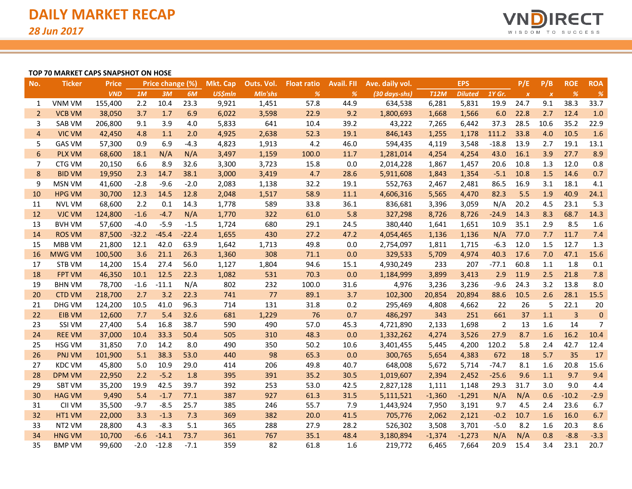

### **TOP 70 MARKET CAPS SNAPSHOT ON HOSE**

| No.            | <b>Ticker</b> | <b>Price</b> |         | Price change (%) |         | <b>Mkt. Cap</b> | Outs. Vol. | <b>Float ratio</b> | <b>Avail. FII</b> | Ave. daily vol.         |             | <b>EPS</b>     |         | P/E          | P/B              | <b>ROE</b>     | <b>ROA</b>    |
|----------------|---------------|--------------|---------|------------------|---------|-----------------|------------|--------------------|-------------------|-------------------------|-------------|----------------|---------|--------------|------------------|----------------|---------------|
|                |               | <b>VND</b>   | 1M      | 3M               | 6M      | <b>US\$mln</b>  | Mln'shs    | %                  | %                 | $(30 \text{ days-shs})$ | <b>T12M</b> | <b>Diluted</b> | 1Y Gr.  | $\pmb{\chi}$ | $\boldsymbol{x}$ | %              | $\frac{9}{6}$ |
| 1              | <b>VNM VM</b> | 155,400      | 2.2     | 10.4             | 23.3    | 9,921           | 1,451      | 57.8               | 44.9              | 634,538                 | 6,281       | 5,831          | 19.9    | 24.7         | 9.1              | 38.3           | 33.7          |
| $\overline{2}$ | <b>VCB VM</b> | 38,050       | 3.7     | 1.7              | 6.9     | 6,022           | 3,598      | 22.9               | 9.2               | 1,800,693               | 1,668       | 1,566          | 6.0     | 22.8         | 2.7              | 12.4           | 1.0           |
| 3              | <b>SAB VM</b> | 206,800      | 9.1     | 3.9              | 4.0     | 5,833           | 641        | 10.4               | 39.2              | 43,222                  | 7,265       | 6,442          | 37.3    | 28.5         | 10.6             | 35.2           | 22.9          |
| $\overline{4}$ | <b>VIC VM</b> | 42,450       | 4.8     | 1.1              | 2.0     | 4,925           | 2,638      | 52.3               | 19.1              | 846,143                 | 1,255       | 1,178          | 111.2   | 33.8         | 4.0              | 10.5           | 1.6           |
| 5              | <b>GAS VM</b> | 57,300       | 0.9     | 6.9              | $-4.3$  | 4,823           | 1,913      | 4.2                | 46.0              | 594,435                 | 4,119       | 3,548          | $-18.8$ | 13.9         | 2.7              | 19.1           | 13.1          |
| 6              | <b>PLX VM</b> | 68,600       | 18.1    | N/A              | N/A     | 3,497           | 1,159      | 100.0              | 11.7              | 1,281,014               | 4,254       | 4,254          | 43.0    | 16.1         | 3.9              | 27.7           | 8.9           |
| 7              | CTG VM        | 20,150       | 6.6     | 8.9              | 32.6    | 3,300           | 3,723      | 15.8               | 0.0               | 2,014,228               | 1,867       | 1,457          | 20.6    | 10.8         | 1.3              | 12.0           | 0.8           |
| $\bf 8$        | <b>BID VM</b> | 19,950       | 2.3     | 14.7             | 38.1    | 3,000           | 3,419      | 4.7                | 28.6              | 5,911,608               | 1,843       | 1,354          | $-5.1$  | 10.8         | 1.5              | 14.6           | 0.7           |
| 9              | <b>MSN VM</b> | 41,600       | $-2.8$  | $-9.6$           | $-2.0$  | 2,083           | 1,138      | 32.2               | 19.1              | 552,763                 | 2,467       | 2,481          | 86.5    | 16.9         | 3.1              | 18.1           | 4.1           |
| 10             | <b>HPG VM</b> | 30,700       | 12.3    | 14.5             | 12.8    | 2,048           | 1,517      | 58.9               | 11.1              | 4,606,316               | 5,565       | 4,470          | 82.3    | 5.5          | 1.9              | 40.9           | 24.1          |
| 11             | <b>NVL VM</b> | 68,600       | 2.2     | 0.1              | 14.3    | 1,778           | 589        | 33.8               | 36.1              | 836,681                 | 3,396       | 3,059          | N/A     | 20.2         | 4.5              | 23.1           | 5.3           |
| 12             | <b>VJC VM</b> | 124,800      | $-1.6$  | $-4.7$           | N/A     | 1,770           | 322        | 61.0               | 5.8               | 327,298                 | 8,726       | 8,726          | $-24.9$ | 14.3         | 8.3              | 68.7           | 14.3          |
| 13             | <b>BVH VM</b> | 57,600       | $-4.0$  | $-5.9$           | $-1.5$  | 1,724           | 680        | 29.1               | 24.5              | 380,440                 | 1,641       | 1,651          | 10.9    | 35.1         | 2.9              | 8.5            | 1.6           |
| 14             | <b>ROS VM</b> | 87,500       | $-32.2$ | $-45.4$          | $-22.4$ | 1,655           | 430        | 27.2               | 47.2              | 4,054,465               | 1,136       | 1,136          | N/A     | 77.0         | 7.7              | 11.7           | 7.4           |
| 15             | MBB VM        | 21,800       | 12.1    | 42.0             | 63.9    | 1,642           | 1,713      | 49.8               | 0.0               | 2,754,097               | 1,811       | 1,715          | $-6.3$  | 12.0         | 1.5              | 12.7           | 1.3           |
| 16             | <b>MWG VM</b> | 100,500      | 3.6     | 21.1             | 26.3    | 1,360           | 308        | 71.1               | 0.0               | 329,533                 | 5,709       | 4,974          | 40.3    | 17.6         | 7.0              | 47.1           | 15.6          |
| 17             | <b>STB VM</b> | 14,200       | 15.4    | 27.4             | 56.0    | 1,127           | 1,804      | 94.6               | 15.1              | 4,930,249               | 233         | 207            | $-77.1$ | 60.8         | 1.1              | 1.8            | 0.1           |
| 18             | <b>FPT VM</b> | 46,350       | 10.1    | 12.5             | 22.3    | 1,082           | 531        | 70.3               | 0.0               | 1,184,999               | 3,899       | 3,413          | 2.9     | 11.9         | 2.5              | 21.8           | 7.8           |
| 19             | <b>BHN VM</b> | 78,700       | $-1.6$  | $-11.1$          | N/A     | 802             | 232        | 100.0              | 31.6              | 4,976                   | 3,236       | 3,236          | $-9.6$  | 24.3         | 3.2              | 13.8           | 8.0           |
| 20             | <b>CTD VM</b> | 218,700      | 2.7     | 3.2              | 22.3    | 741             | 77         | 89.1               | 3.7               | 102,300                 | 20,854      | 20,894         | 88.6    | 10.5         | 2.6              | 28.1           | 15.5          |
| 21             | <b>DHG VM</b> | 124,200      | 10.5    | 41.0             | 96.3    | 714             | 131        | 31.8               | 0.2               | 295,469                 | 4,808       | 4,662          | 22      | 26           | 5                | 22.1           | 20            |
| 22             | <b>EIB VM</b> | 12,600       | 7.7     | 5.4              | 32.6    | 681             | 1,229      | 76                 | 0.7               | 486,297                 | 343         | 251            | 661     | 37           | 1.1              | $\overline{3}$ | $\mathbf 0$   |
| 23             | <b>SSI VM</b> | 27,400       | 5.4     | 16.8             | 38.7    | 590             | 490        | 57.0               | 45.3              | 4,721,890               | 2,133       | 1,698          | 2       | 13           | 1.6              | 14             | 7             |
| 24             | <b>REE VM</b> | 37,000       | 10.4    | 33.3             | 50.4    | 505             | 310        | 48.3               | 0.0               | 1,332,262               | 4,274       | 3,526          | 27.9    | 8.7          | 1.6              | 16.2           | 10.4          |
| 25             | <b>HSG VM</b> | 31,850       | 7.0     | 14.2             | 8.0     | 490             | 350        | 50.2               | 10.6              | 3,401,455               | 5,445       | 4,200          | 120.2   | 5.8          | 2.4              | 42.7           | 12.4          |
| 26             | PNJ VM        | 101,900      | 5.1     | 38.3             | 53.0    | 440             | 98         | 65.3               | 0.0               | 300,765                 | 5,654       | 4,383          | 672     | 18           | 5.7              | 35             | 17            |
| 27             | <b>KDC VM</b> | 45,800       | 5.0     | 10.9             | 29.0    | 414             | 206        | 49.8               | 40.7              | 648,008                 | 5,672       | 5,714          | $-74.7$ | 8.1          | 1.6              | 20.8           | 15.6          |
| 28             | <b>DPM VM</b> | 22,950       | 2.2     | $-5.2$           | 1.8     | 395             | 391        | 35.2               | 30.5              | 1,019,607               | 2,394       | 2,452          | $-25.6$ | 9.6          | 1.1              | 9.7            | 9.4           |
| 29             | <b>SBT VM</b> | 35,200       | 19.9    | 42.5             | 39.7    | 392             | 253        | 53.0               | 42.5              | 2,827,128               | 1,111       | 1,148          | 29.3    | 31.7         | 3.0              | 9.0            | 4.4           |
| 30             | <b>HAG VM</b> | 9,490        | 5.4     | $-1.7$           | 77.1    | 387             | 927        | 61.3               | 31.5              | 5,111,521               | $-1,360$    | $-1,291$       | N/A     | N/A          | 0.6              | $-10.2$        | $-2.9$        |
| 31             | CII VM        | 35,500       | $-9.7$  | $-8.5$           | 25.7    | 385             | 246        | 55.7               | 7.9               | 1,443,924               | 7,950       | 3,191          | 9.7     | 4.5          | 2.4              | 23.6           | 6.7           |
| 32             | HT1 VM        | 22,000       | 3.3     | $-1.3$           | 7.3     | 369             | 382        | 20.0               | 41.5              | 705,776                 | 2,062       | 2,121          | $-0.2$  | 10.7         | 1.6              | 16.0           | 6.7           |
| 33             | NT2 VM        | 28,800       | 4.3     | $-8.3$           | 5.1     | 365             | 288        | 27.9               | 28.2              | 526,302                 | 3,508       | 3,701          | $-5.0$  | 8.2          | 1.6              | 20.3           | 8.6           |
| 34             | <b>HNG VM</b> | 10,700       | $-6.6$  | $-14.1$          | 73.7    | 361             | 767        | 35.1               | 48.4              | 3,180,894               | $-1,374$    | $-1,273$       | N/A     | N/A          | 0.8              | $-8.8$         | $-3.3$        |
| 35             | <b>BMP VM</b> | 99,600       | $-2.0$  | $-12.8$          | $-7.1$  | 359             | 82         | 61.8               | 1.6               | 219,772                 | 6,465       | 7,664          | 20.9    | 15.4         | 3.4              | 23.1           | 20.7          |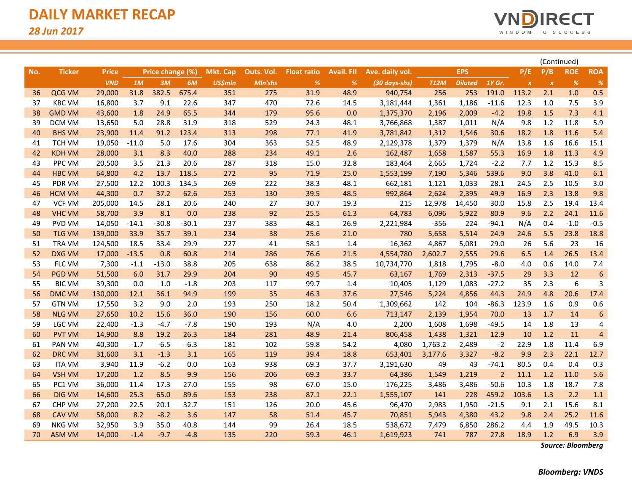

|     |               |              |         |                  |         |                 |            |                    |                   |                 |             |                |                |                  | (Continued)               |            |                  |
|-----|---------------|--------------|---------|------------------|---------|-----------------|------------|--------------------|-------------------|-----------------|-------------|----------------|----------------|------------------|---------------------------|------------|------------------|
| No. | <b>Ticker</b> | <b>Price</b> |         | Price change (%) |         | <b>Mkt. Cap</b> | Outs. Vol. | <b>Float ratio</b> | <b>Avail. FII</b> | Ave. daily vol. |             | <b>EPS</b>     |                | P/E              | P/B                       | <b>ROE</b> | <b>ROA</b>       |
|     |               | <b>VND</b>   | 1M      | 3M               | 6M      | <b>US\$mln</b>  | Mln'shs    | $\%$               | $\%$              | (30 days-shs)   | <b>T12M</b> | <b>Diluted</b> | 1Y Gr.         | $\boldsymbol{x}$ | $\boldsymbol{\mathsf{x}}$ | %          | %                |
| 36  | QCG VM        | 29,000       | 31.8    | 382.5            | 675.4   | 351             | 275        | 31.9               | 48.9              | 940,754         | 256         | 253            | 191.0          | 113.2            | 2.1                       | 1.0        | 0.5              |
| 37  | <b>KBC VM</b> | 16,800       | 3.7     | 9.1              | 22.6    | 347             | 470        | 72.6               | 14.5              | 3,181,444       | 1,361       | 1,186          | $-11.6$        | 12.3             | 1.0                       | 7.5        | 3.9              |
| 38  | <b>GMD VM</b> | 43,600       | 1.8     | 24.9             | 65.5    | 344             | 179        | 95.6               | 0.0               | 1,375,370       | 2,196       | 2,009          | $-4.2$         | 19.8             | 1.5                       | 7.3        | 4.1              |
| 39  | DCM VM        | 13,650       | 5.0     | 28.8             | 31.9    | 318             | 529        | 24.3               | 48.1              | 3,766,868       | 1,387       | 1,011          | N/A            | 9.8              | 1.2                       | 11.8       | 5.9              |
| 40  | <b>BHS VM</b> | 23,900       | 11.4    | 91.2             | 123.4   | 313             | 298        | 77.1               | 41.9              | 3,781,842       | 1,312       | 1,546          | 30.6           | 18.2             | 1.8                       | 11.6       | 5.4              |
| 41  | <b>TCH VM</b> | 19,050       | $-11.0$ | 5.0              | 17.6    | 304             | 363        | 52.5               | 48.9              | 2,129,378       | 1,379       | 1,379          | N/A            | 13.8             | 1.6                       | 16.6       | 15.1             |
| 42  | <b>KDH VM</b> | 28,000       | 3.1     | 8.3              | 40.0    | 288             | 234        | 49.1               | 2.6               | 162,487         | 1,658       | 1,587          | 55.3           | 16.9             | 1.8                       | 11.3       | 4.9              |
| 43  | PPC VM        | 20,500       | 3.5     | 21.3             | 20.6    | 287             | 318        | 15.0               | 32.8              | 183,464         | 2,665       | 1,724          | $-2.2$         | 7.7              | 1.2                       | 15.3       | 8.5              |
| 44  | <b>HBC VM</b> | 64,800       | 4.2     | 13.7             | 118.5   | 272             | 95         | 71.9               | 25.0              | 1,553,199       | 7,190       | 5,346          | 539.6          | 9.0              | 3.8                       | 41.0       | 6.1              |
| 45  | PDR VM        | 27,500       | 12.2    | 100.3            | 134.5   | 269             | 222        | 38.3               | 48.1              | 662,181         | 1,121       | 1,033          | 28.1           | 24.5             | 2.5                       | 10.5       | 3.0              |
| 46  | <b>HCM VM</b> | 44,300       | 0.7     | 37.2             | 62.6    | 253             | 130        | 39.5               | 48.5              | 992,864         | 2,624       | 2,395          | 49.9           | 16.9             | 2.3                       | 13.8       | 9.8              |
| 47  | <b>VCF VM</b> | 205,000      | 14.5    | 28.1             | 20.6    | 240             | 27         | 30.7               | 19.3              | 215             | 12,978      | 14,450         | 30.0           | 15.8             | 2.5                       | 19.4       | 13.4             |
| 48  | <b>VHC VM</b> | 58,700       | 3.9     | 8.1              | 0.0     | 238             | 92         | 25.5               | 61.3              | 64,783          | 6,096       | 5,922          | 80.9           | 9.6              | 2.2                       | 24.1       | 11.6             |
| 49  | <b>PVD VM</b> | 14,050       | $-14.1$ | $-30.8$          | $-30.1$ | 237             | 383        | 48.1               | 26.9              | 2,221,984       | $-356$      | 224            | $-94.1$        | N/A              | 0.4                       | $-1.0$     | $-0.5$           |
| 50  | <b>TLG VM</b> | 139,000      | 33.9    | 35.7             | 39.1    | 234             | 38         | 25.6               | 21.0              | 780             | 5,658       | 5,514          | 24.9           | 24.6             | 5.5                       | 23.8       | 18.8             |
| 51  | <b>TRA VM</b> | 124,500      | 18.5    | 33.4             | 29.9    | 227             | 41         | 58.1               | 1.4               | 16,362          | 4,867       | 5,081          | 29.0           | 26               | 5.6                       | 23         | 16               |
| 52  | <b>DXG VM</b> | 17,000       | $-13.5$ | 0.8              | 60.8    | 214             | 286        | 76.6               | 21.5              | 4,554,780       | 2,602.7     | 2,555          | 29.6           | 6.5              | 1.4                       | 26.5       | 13.4             |
| 53  | FLC VM        | 7,300        | $-1.1$  | $-13.0$          | 38.8    | 205             | 638        | 86.2               | 38.5              | 10,734,770      | 1,818       | 1,795          | $-8.0$         | 4.0              | 0.6                       | 14.0       | 7.4              |
| 54  | <b>PGD VM</b> | 51,500       | 6.0     | 31.7             | 29.9    | 204             | 90         | 49.5               | 45.7              | 63,167          | 1,769       | 2,313          | $-37.5$        | 29               | 3.3                       | 12         | $\boldsymbol{6}$ |
| 55  | <b>BIC VM</b> | 39,300       | 0.0     | $1.0$            | $-1.8$  | 203             | 117        | 99.7               | 1.4               | 10,405          | 1,129       | 1,083          | $-27.2$        | 35               | 2.3                       | 6          | 3                |
| 56  | <b>DMC VM</b> | 130,000      | 12.1    | 36.1             | 94.9    | 199             | 35         | 46.3               | 37.6              | 27,546          | 5,224       | 4,856          | 44.3           | 24.9             | 4.8                       | 20.6       | 17.4             |
| 57  | <b>GTN VM</b> | 17,550       | 3.2     | 9.0              | 2.0     | 193             | 250        | 18.2               | 50.4              | 1,309,662       | 142         | 104            | $-86.3$        | 123.9            | 1.6                       | 0.9        | 0.6              |
| 58  | <b>NLG VM</b> | 27,650       | 10.2    | 15.6             | 36.0    | 190             | 156        | 60.0               | 6.6               | 713,147         | 2,139       | 1,954          | 70.0           | 13               | 1.7                       | 14         | 6                |
| 59  | <b>LGC VM</b> | 22,400       | $-1.3$  | $-4.7$           | $-7.8$  | 190             | 193        | N/A                | 4.0               | 2,200           | 1,608       | 1,698          | $-49.5$        | 14               | 1.8                       | 13         | 4                |
| 60  | <b>PVT VM</b> | 14,900       | 8.8     | 19.2             | 26.3    | 184             | 281        | 48.9               | 21.4              | 806,458         | 1,438       | 1,321          | 12.9           | 10               | 1.2                       | 11         | $\overline{4}$   |
| 61  | PAN VM        | 40,300       | $-1.7$  | $-6.5$           | $-6.3$  | 181             | 102        | 59.8               | 54.2              | 4,080           | 1,763.2     | 2,489          | $-2$           | 22.9             | 1.8                       | 11.4       | 6.9              |
| 62  | <b>DRC VM</b> | 31,600       | 3.1     | $-1.3$           | 3.1     | 165             | 119        | 39.4               | 18.8              | 653,401         | 3,177.6     | 3,327          | $-8.2$         | 9.9              | 2.3                       | 22.1       | 12.7             |
| 63  | <b>ITA VM</b> | 3,940        | 11.9    | $-6.2$           | 0.0     | 163             | 938        | 69.3               | 37.7              | 3,191,630       | 49          | 43             | $-74.1$        | 80.5             | 0.4                       | 0.4        | 0.3              |
| 64  | <b>VSH VM</b> | 17,200       | 1.2     | 8.5              | 9.9     | 156             | 206        | 69.3               | 33.7              | 64,386          | 1,549       | 1,219          | $\overline{2}$ | 11.1             | 1.2                       | 11.0       | 5.6              |
| 65  | PC1 VM        | 36,000       | 11.4    | 17.3             | 27.0    | 155             | 98         | 67.0               | 15.0              | 176,225         | 3,486       | 3,486          | $-50.6$        | 10.3             | 1.8                       | 18.7       | 7.8              |
| 66  | <b>DIG VM</b> | 14,600       | 25.3    | 65.0             | 89.6    | 153             | 238        | 87.1               | 22.1              | 1,555,107       | 141         | 228            | 459.2          | 103.6            | 1.3                       | 2.2        | 1.1              |
| 67  | CHP VM        | 27,200       | 22.5    | 20.1             | 32.7    | 151             | 126        | 20.0               | 45.6              | 96,470          | 2,983       | 1,950          | $-21.5$        | 9.1              | 2.1                       | 15.6       | 8.1              |
| 68  | <b>CAV VM</b> | 58,000       | 8.2     | $-8.2$           | 3.6     | 147             | 58         | 51.4               | 45.7              | 70,851          | 5,943       | 4,380          | 43.2           | 9.8              | 2.4                       | 25.2       | 11.6             |
| 69  | <b>NKG VM</b> | 32,950       | 3.9     | 35.0             | 40.8    | 144             | 99         | 26.4               | 18.5              | 538,672         | 7,479       | 6,850          | 286.2          | 4.4              | 1.9                       | 49.5       | 10.3             |
| 70  | <b>ASM VM</b> | 14,000       | $-1.4$  | $-9.7$           | $-4.8$  | 135             | 220        | 59.3               | 46.1              | 1,619,923       | 741         | 787            | 27.8           | 18.9             | 1.2                       | 6.9        | 3.9              |

*Source: Bloomberg*